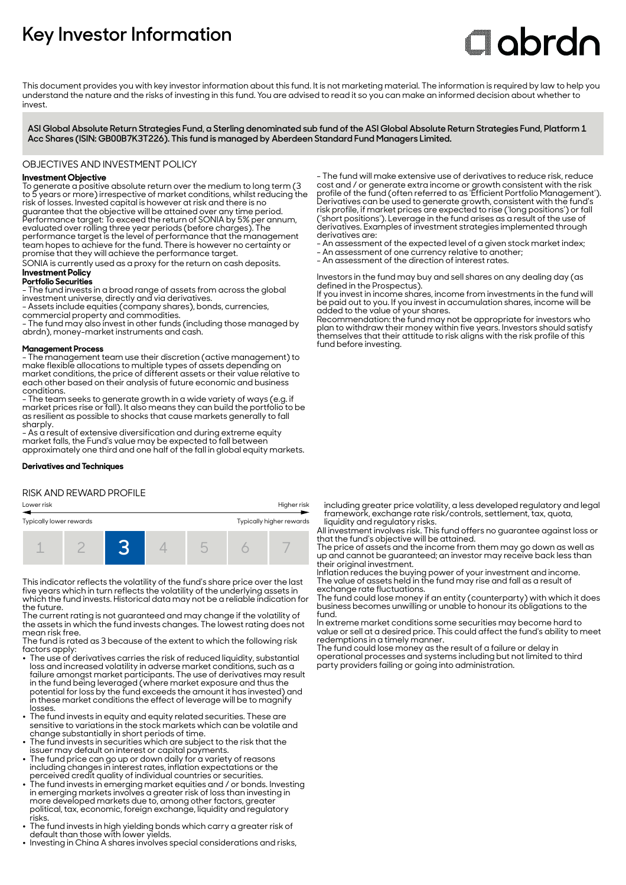# **Key Investor Information**

# Clobrdn

This document provides you with key investor information about this fund. It is not marketing material. The information is required by law to help you understand the nature and the risks of investing in this fund. You are advised to read it so you can make an informed decision about whether to invest

**ASI Global Absolute Return Strategies Fund, a Sterling denominated sub fund of the ASI Global Absolute Return Strategies Fund, Platform 1 Acc Shares (ISIN: GB00B7K3T226). This fund is managed by Aberdeen Standard Fund Managers Limited.**

OBJECTIVES AND INVESTMENT POLICY

# **Investment Objective**

To generate a positive absolute return over the medium to long term (3 to 5 years or more) irrespective of market conditions, whilst reducing the risk of losses. Invested capital is however at risk and there is no guarantee that the objective will be attained over any time period. Performance target: To exceed the return of SONIA by 5% per annum, evaluated over rolling three year periods (before charges). The performance target is the level of performance that the management team hopes to achieve for the fund. There is however no certainty or promise that they will achieve the performance target.

SONIA is currently used as a proxy for the return on cash deposits. **Investment Policy** 

### **Portfolio Securities**

- The fund invests in a broad range of assets from across the global investment universe, directly and via derivatives.

- Assets include equities (company shares), bonds, currencies,

commercial property and commodities.

- The fund may also invest in other funds (including those managed by abrdn), money-market instruments and cash.

#### **Management Process**

- The management team use their discretion (active management) to make flexible allocations to multiple types of assets depending on market conditions, the price of different assets or their value relative to each other based on their analysis of future economic and business conditions.

- The team seeks to generate growth in a wide variety of ways (e.g. if market prices rise or fall). It also means they can build the portfolio to be as resilient as possible to shocks that cause markets generally to fall sharply.

- As a result of extensive diversification and during extreme equity market falls, the Fund's value may be expected to fall between approximately one third and one half of the fall in global equity markets.

#### **Derivatives and Techniques**

#### RISK AND REWARD PROFILE



This indicator reflects the volatility of the fund's share price over the last five years which in turn reflects the volatility of the underlying assets in which the fund invests. Historical data may not be a reliable indication for the future.

The current rating is not guaranteed and may change if the volatility of the assets in which the fund invests changes. The lowest rating does not mean risk free.

The fund is rated as 3 because of the extent to which the following risk factors apply:

- 2 The use of derivatives carries the risk of reduced liquidity, substantial loss and increased volatility in adverse market conditions, such as a failure amongst market participants. The use of derivatives may result in the fund being leveraged (where market exposure and thus the potential for loss by the fund exceeds the amount it has invested) and in these market conditions the effect of leverage will be to magnify losses.
- 2 The fund invests in equity and equity related securities. These are sensitive to variations in the stock markets which can be volatile and change substantially in short periods of time. 2 The fund invests in securities which are subject to the risk that the
- issuer may default on interest or capital payments. 2 The fund price can go up or down daily for a variety of reasons
- including changes in interest rates, inflation expectations or the perceived credit quality of individual countries or securities. 2 The fund invests in emerging market equities and / or bonds. Investing
- in emerging markets involves a greater risk of loss than investing in more developed markets due to, among other factors, greater political, tax, economic, foreign exchange, liquidity and regulatory risks.
- The fund invests in high yielding bonds which carry a greater risk of default than those with lower yields.
- Investing in China A shares involves special considerations and risks,

- The fund will make extensive use of derivatives to reduce risk, reduce cost and / or generate extra income or growth consistent with the risk profile of the fund (often referred to as 'Efficient Portfolio Management'). Derivatives can be used to generate growth, consistent with the fund's risk profile, if market prices are expected to rise ('long positions') or fall ('short positions'). Leverage in the fund arises as a result of the use of derivatives. Examples of investment strategies implemented through derivatives are:

- An assessment of the expected level of a given stock market index; - An assessment of one currency relative to another;

- An assessment of the direction of interest rates.

Investors in the fund may buy and sell shares on any dealing day (as defined in the Prospectus).

If you invest in income shares, income from investments in the fund will be paid out to you. If you invest in accumulation shares, income will be added to the value of your shares.

Recommendation: the fund may not be appropriate for investors who plan to withdraw their money within five years. Investors should satisfy themselves that their attitude to risk aligns with the risk profile of this fund before investing.

including greater price volatility, a less developed regulatory and legal framework, exchange rate risk/controls, settlement, tax, quota, liquidity and regulatory risks.

All investment involves risk. This fund offers no guarantee against loss or that the fund's objective will be attained.

The price of assets and the income from them may go down as well as up and cannot be guaranteed; an investor may receive back less than their original investment.

Inflation reduces the buying power of your investment and income. The value of assets held in the fund may rise and fall as a result of exchange rate fluctuations.

The fund could lose money if an entity (counterparty) with which it does business becomes unwilling or unable to honour its obligations to the fund.

In extreme market conditions some securities may become hard to value or sell at a desired price. This could affect the fund's ability to meet redemptions in a timely manner.

The fund could lose money as the result of a failure or delay in operational processes and systems including but not limited to third party providers failing or going into administration.